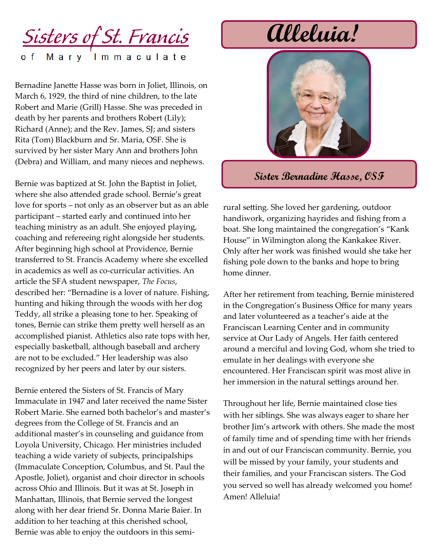### <u>Sisters of St. Francis</u> Mary Immaculate

Bernadine Janette Hasse was born in Joliet, Illinois, on March 6, 1929, the third of nine children, to the late Robert and Marie (Grill) Hasse. She was preceded in death by her parents and brothers Robert (Lily); Richard (Anne); and the Rev. James, SJ; and sisters Rita (Tom) Blackburn and Sr. Maria, OSF. She is survived by her sister Mary Ann and brothers John (Debra) and William, and many nieces and nephews.

Bernie was baptized at St. John the Baptist in Joliet, where she also attended grade school. Bernie's great love for sports – not only as an observer but as an able participant – started early and continued into her teaching ministry as an adult. She enjoyed playing, coaching and refereeing right alongside her students. After beginning high school at Providence, Bernie transferred to St. Francis Academy where she excelled in academics as well as co-curricular activities. An article the SFA student newspaper, *The Focus*, described her: "Bernadine is a lover of nature. Fishing, hunting and hiking through the woods with her dog Teddy, all strike a pleasing tone to her. Speaking of tones, Bernie can strike them pretty well herself as an accomplished pianist. Athletics also rate tops with her, especially basketball, although baseball and archery are not to be excluded." Her leadership was also recognized by her peers and later by our sisters.

Bernie entered the Sisters of St. Francis of Mary Immaculate in 1947 and later received the name Sister Robert Marie. She earned both bachelor's and master's degrees from the College of St. Francis and an additional master's in counseling and guidance from Loyola University, Chicago. Her ministries included teaching a wide variety of subjects, principalships (Immaculate Conception, Columbus, and St. Paul the Apostle, Joliet), organist and choir director in schools across Ohio and Illinois. But it was at St. Joseph in Manhattan, Illinois, that Bernie served the longest along with her dear friend Sr. Donna Marie Baier. In addition to her teaching at this cherished school, Bernie was able to enjoy the outdoors in this semi-

# **Alleluia!**



#### **Sister Bernadine Hasse, OSF**

rural setting. She loved her gardening, outdoor handiwork, organizing hayrides and fishing from a boat. She long maintained the congregation's "Kank House" in Wilmington along the Kankakee River. Only after her work was finished would she take her fishing pole down to the banks and hope to bring home dinner.

After her retirement from teaching, Bernie ministered in the Congregation's Business Office for many years and later volunteered as a teacher's aide at the Franciscan Learning Center and in community service at Our Lady of Angels. Her faith centered around a merciful and loving God, whom she tried to emulate in her dealings with everyone she encountered. Her Franciscan spirit was most alive in her immersion in the natural settings around her.

Throughout her life, Bernie maintained close ties with her siblings. She was always eager to share her brother Jim's artwork with others. She made the most of family time and of spending time with her friends in and out of our Franciscan community. Bernie, you will be missed by your family, your students and their families, and your Franciscan sisters. The God you served so well has already welcomed you home! Amen! Alleluia!